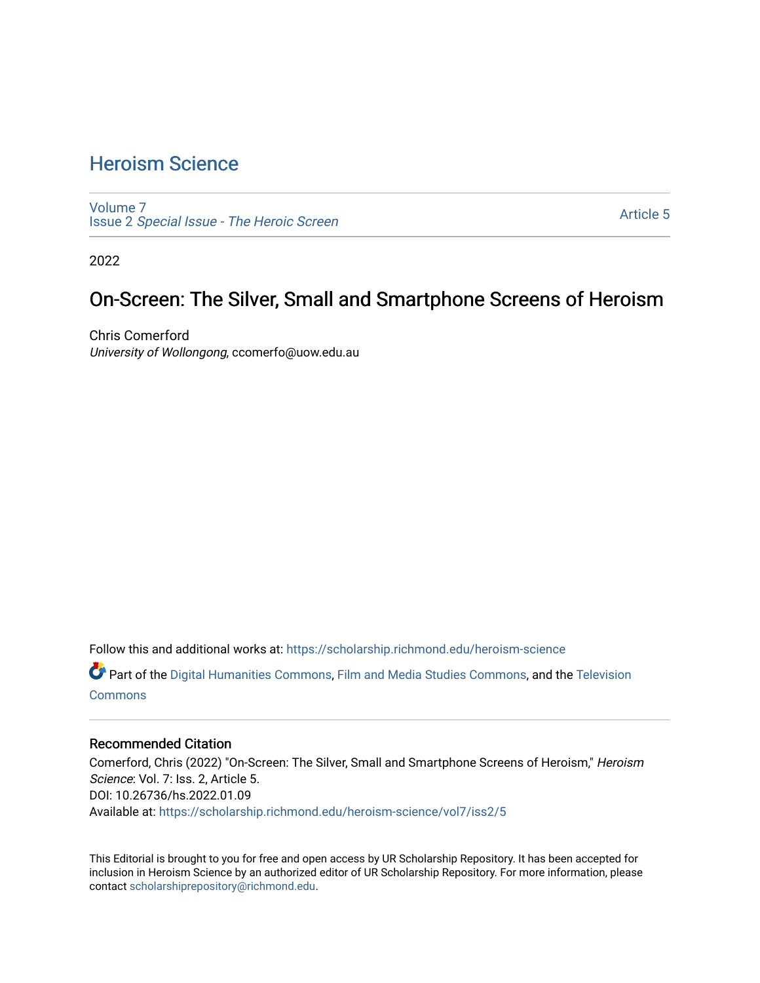## [Heroism Science](https://scholarship.richmond.edu/heroism-science)

[Volume 7](https://scholarship.richmond.edu/heroism-science/vol7) Issue 2 [Special Issue - The Heroic Screen](https://scholarship.richmond.edu/heroism-science/vol7/iss2)

[Article 5](https://scholarship.richmond.edu/heroism-science/vol7/iss2/5) 

2022

### On-Screen: The Silver, Small and Smartphone Screens of Heroism

Chris Comerford University of Wollongong, ccomerfo@uow.edu.au

Follow this and additional works at: [https://scholarship.richmond.edu/heroism-science](https://scholarship.richmond.edu/heroism-science?utm_source=scholarship.richmond.edu%2Fheroism-science%2Fvol7%2Fiss2%2F5&utm_medium=PDF&utm_campaign=PDFCoverPages) 

Part of the [Digital Humanities Commons](https://network.bepress.com/hgg/discipline/1286?utm_source=scholarship.richmond.edu%2Fheroism-science%2Fvol7%2Fiss2%2F5&utm_medium=PDF&utm_campaign=PDFCoverPages), [Film and Media Studies Commons](https://network.bepress.com/hgg/discipline/563?utm_source=scholarship.richmond.edu%2Fheroism-science%2Fvol7%2Fiss2%2F5&utm_medium=PDF&utm_campaign=PDFCoverPages), and the [Television](https://network.bepress.com/hgg/discipline/1143?utm_source=scholarship.richmond.edu%2Fheroism-science%2Fvol7%2Fiss2%2F5&utm_medium=PDF&utm_campaign=PDFCoverPages)  **[Commons](https://network.bepress.com/hgg/discipline/1143?utm_source=scholarship.richmond.edu%2Fheroism-science%2Fvol7%2Fiss2%2F5&utm_medium=PDF&utm_campaign=PDFCoverPages)** 

#### Recommended Citation

Comerford, Chris (2022) "On-Screen: The Silver, Small and Smartphone Screens of Heroism," Heroism Science: Vol. 7: Iss. 2, Article 5. DOI: 10.26736/hs.2022.01.09 Available at: [https://scholarship.richmond.edu/heroism-science/vol7/iss2/5](https://scholarship.richmond.edu/heroism-science/vol7/iss2/5?utm_source=scholarship.richmond.edu%2Fheroism-science%2Fvol7%2Fiss2%2F5&utm_medium=PDF&utm_campaign=PDFCoverPages)

This Editorial is brought to you for free and open access by UR Scholarship Repository. It has been accepted for inclusion in Heroism Science by an authorized editor of UR Scholarship Repository. For more information, please contact [scholarshiprepository@richmond.edu](mailto:scholarshiprepository@richmond.edu).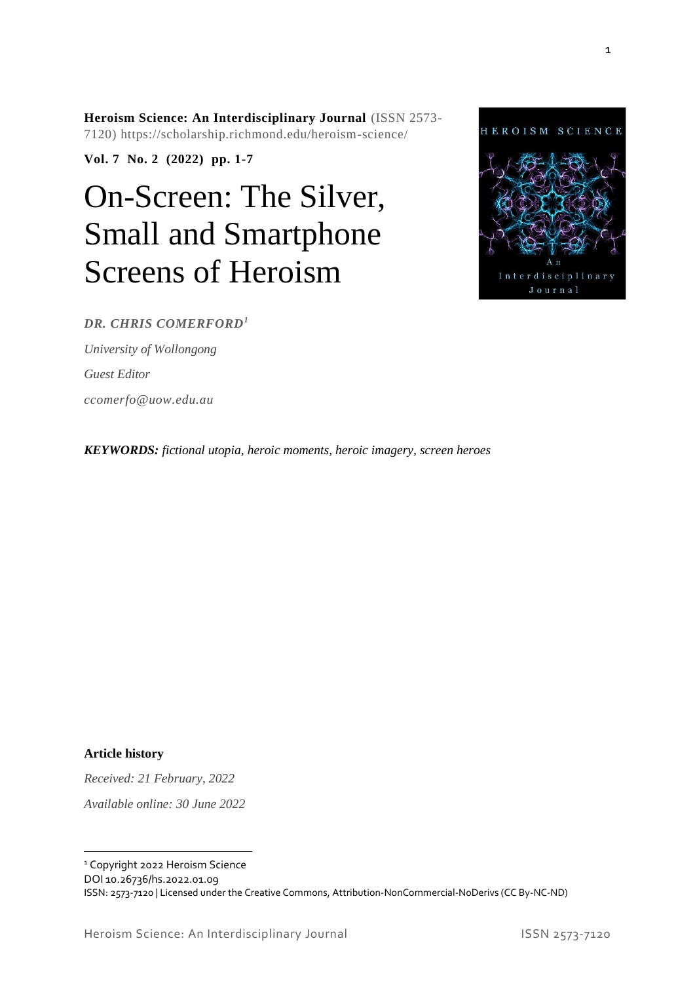**Heroism Science: An Interdisciplinary Journal** (ISSN 2573- 7120) https://scholarship.richmond.edu/heroism-science/

**Vol. 7 No. 2 (2022) pp. 1-7**

# On-Screen: The Silver, Small and Smartphone Screens of Heroism



#### *DR. CHRIS COMERFORD<sup>1</sup>*

*University of Wollongong Guest Editor ccomerfo@uow.edu.au*

*KEYWORDS: fictional utopia, heroic moments, heroic imagery, screen heroes*

**Article history**

*Received: 21 February, 2022 Available online: 30 June 2022*

<sup>1</sup> Copyright 2022 Heroism Science

DOI 10.26736/hs.2022.01.09

ISSN: 2573-7120 | Licensed under the Creative Commons, Attribution-NonCommercial-NoDerivs (CC By-NC-ND)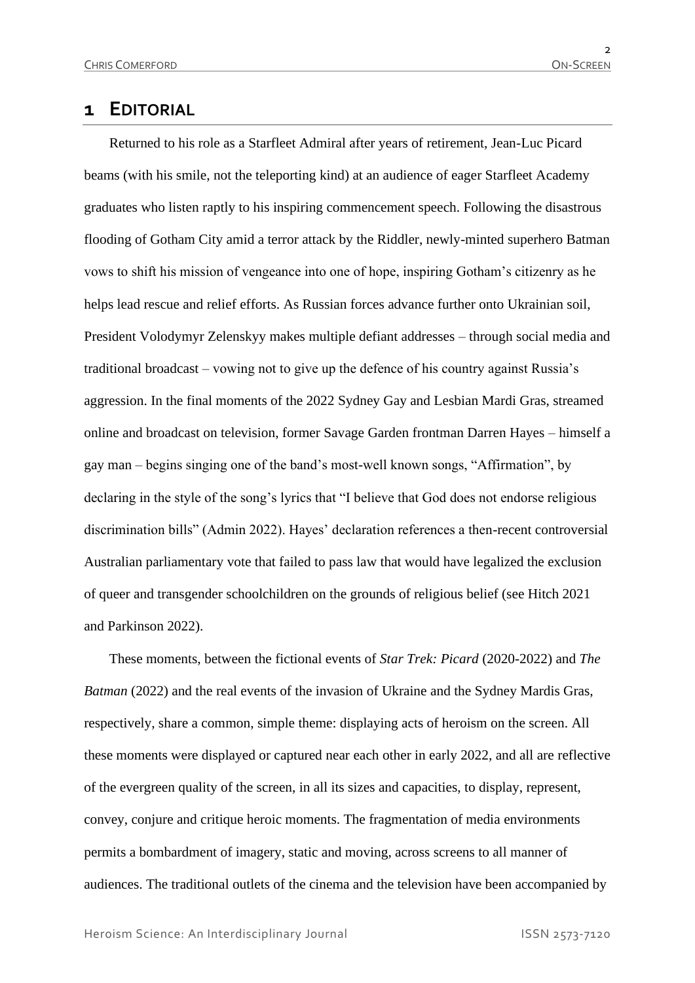## **1 EDITORIAL**

Returned to his role as a Starfleet Admiral after years of retirement, Jean-Luc Picard beams (with his smile, not the teleporting kind) at an audience of eager Starfleet Academy graduates who listen raptly to his inspiring commencement speech. Following the disastrous flooding of Gotham City amid a terror attack by the Riddler, newly-minted superhero Batman vows to shift his mission of vengeance into one of hope, inspiring Gotham's citizenry as he helps lead rescue and relief efforts. As Russian forces advance further onto Ukrainian soil, President Volodymyr Zelenskyy makes multiple defiant addresses – through social media and traditional broadcast – vowing not to give up the defence of his country against Russia's aggression. In the final moments of the 2022 Sydney Gay and Lesbian Mardi Gras, streamed online and broadcast on television, former Savage Garden frontman Darren Hayes – himself a gay man – begins singing one of the band's most-well known songs, "Affirmation", by declaring in the style of the song's lyrics that "I believe that God does not endorse religious discrimination bills" (Admin 2022). Hayes' declaration references a then-recent controversial Australian parliamentary vote that failed to pass law that would have legalized the exclusion of queer and transgender schoolchildren on the grounds of religious belief (see Hitch 2021 and Parkinson 2022).

These moments, between the fictional events of *Star Trek: Picard* (2020-2022) and *The Batman* (2022) and the real events of the invasion of Ukraine and the Sydney Mardis Gras, respectively, share a common, simple theme: displaying acts of heroism on the screen. All these moments were displayed or captured near each other in early 2022, and all are reflective of the evergreen quality of the screen, in all its sizes and capacities, to display, represent, convey, conjure and critique heroic moments. The fragmentation of media environments permits a bombardment of imagery, static and moving, across screens to all manner of audiences. The traditional outlets of the cinema and the television have been accompanied by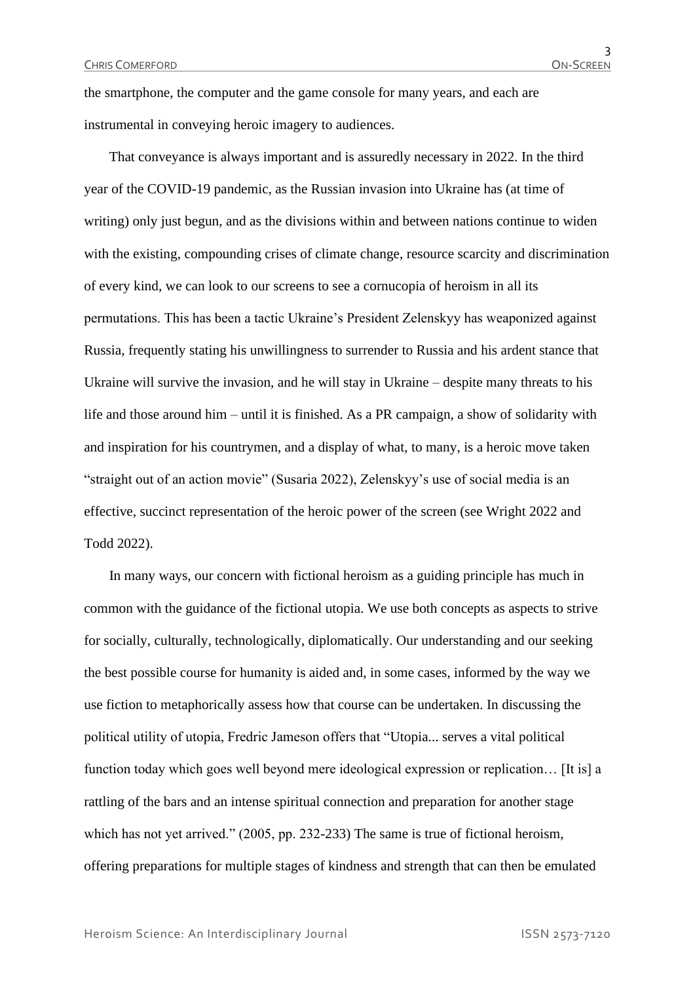the smartphone, the computer and the game console for many years, and each are instrumental in conveying heroic imagery to audiences.

That conveyance is always important and is assuredly necessary in 2022. In the third year of the COVID-19 pandemic, as the Russian invasion into Ukraine has (at time of writing) only just begun, and as the divisions within and between nations continue to widen with the existing, compounding crises of climate change, resource scarcity and discrimination of every kind, we can look to our screens to see a cornucopia of heroism in all its permutations. This has been a tactic Ukraine's President Zelenskyy has weaponized against Russia, frequently stating his unwillingness to surrender to Russia and his ardent stance that Ukraine will survive the invasion, and he will stay in Ukraine – despite many threats to his life and those around him – until it is finished. As a PR campaign, a show of solidarity with and inspiration for his countrymen, and a display of what, to many, is a heroic move taken "straight out of an action movie" (Susaria 2022), Zelenskyy's use of social media is an effective, succinct representation of the heroic power of the screen (see Wright 2022 and Todd 2022).

In many ways, our concern with fictional heroism as a guiding principle has much in common with the guidance of the fictional utopia. We use both concepts as aspects to strive for socially, culturally, technologically, diplomatically. Our understanding and our seeking the best possible course for humanity is aided and, in some cases, informed by the way we use fiction to metaphorically assess how that course can be undertaken. In discussing the political utility of utopia, Fredric Jameson offers that "Utopia... serves a vital political function today which goes well beyond mere ideological expression or replication… [It is] a rattling of the bars and an intense spiritual connection and preparation for another stage which has not yet arrived." (2005, pp. 232-233) The same is true of fictional heroism, offering preparations for multiple stages of kindness and strength that can then be emulated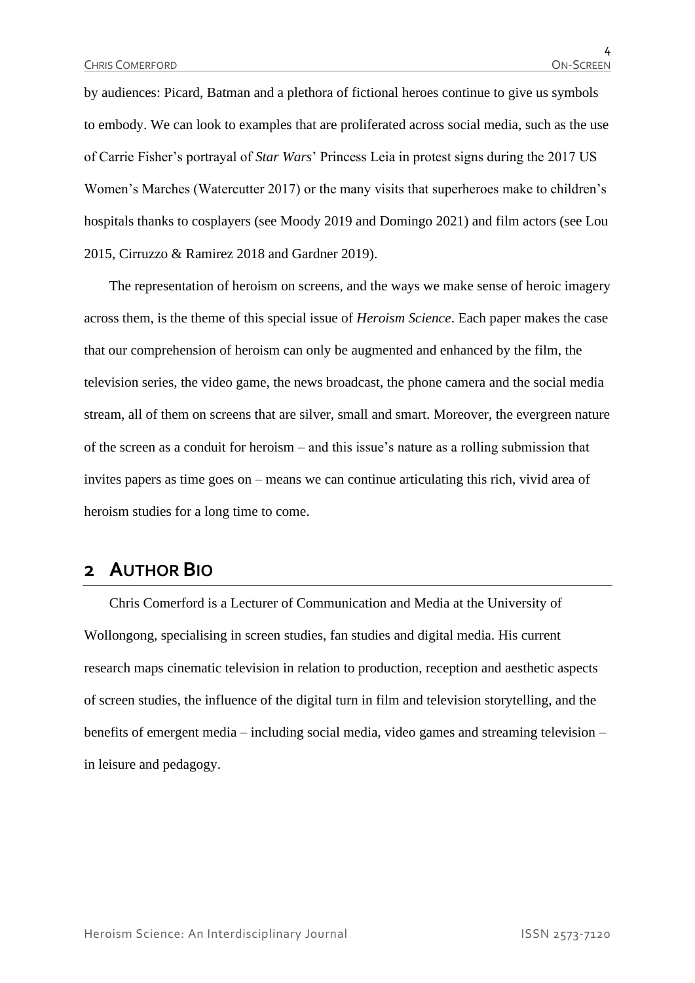by audiences: Picard, Batman and a plethora of fictional heroes continue to give us symbols to embody. We can look to examples that are proliferated across social media, such as the use of Carrie Fisher's portrayal of *Star Wars*' Princess Leia in protest signs during the 2017 US Women's Marches (Watercutter 2017) or the many visits that superheroes make to children's hospitals thanks to cosplayers (see Moody 2019 and Domingo 2021) and film actors (see Lou 2015, Cirruzzo & Ramirez 2018 and Gardner 2019).

The representation of heroism on screens, and the ways we make sense of heroic imagery across them, is the theme of this special issue of *Heroism Science*. Each paper makes the case that our comprehension of heroism can only be augmented and enhanced by the film, the television series, the video game, the news broadcast, the phone camera and the social media stream, all of them on screens that are silver, small and smart. Moreover, the evergreen nature of the screen as a conduit for heroism – and this issue's nature as a rolling submission that invites papers as time goes on – means we can continue articulating this rich, vivid area of heroism studies for a long time to come.

#### **2 AUTHOR BIO**

Chris Comerford is a Lecturer of Communication and Media at the University of Wollongong, specialising in screen studies, fan studies and digital media. His current research maps cinematic television in relation to production, reception and aesthetic aspects of screen studies, the influence of the digital turn in film and television storytelling, and the benefits of emergent media – including social media, video games and streaming television – in leisure and pedagogy.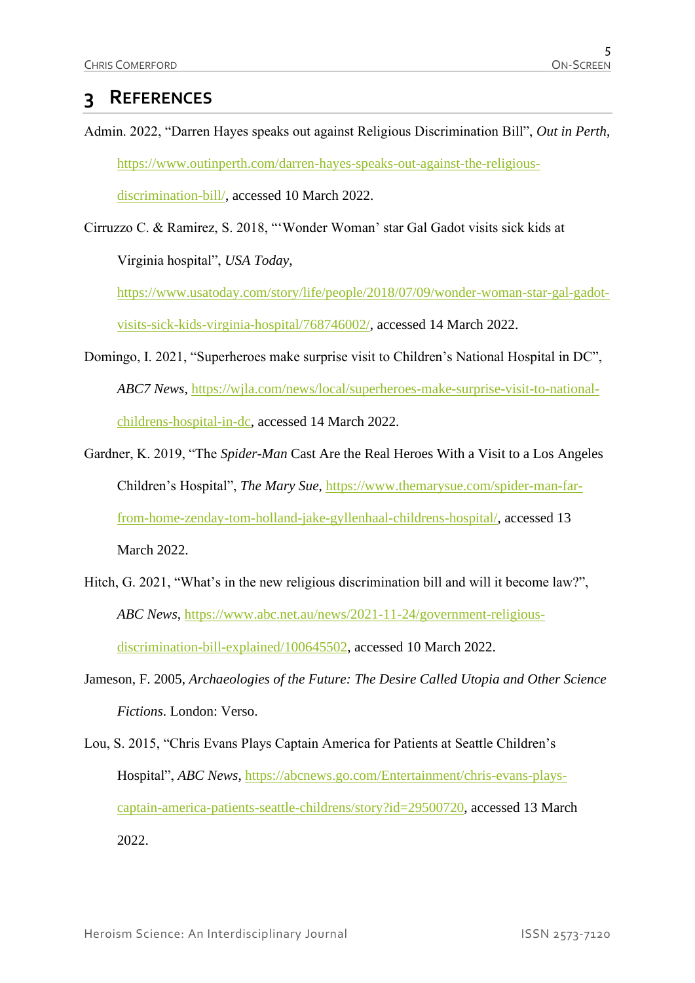# **3 REFERENCES**

- Admin. 2022, "Darren Hayes speaks out against Religious Discrimination Bill", *Out in Perth*, [https://www.outinperth.com/darren-hayes-speaks-out-against-the-religious](https://www.outinperth.com/darren-hayes-speaks-out-against-the-religious-discrimination-bill/)[discrimination-bill/,](https://www.outinperth.com/darren-hayes-speaks-out-against-the-religious-discrimination-bill/) accessed 10 March 2022.
- Cirruzzo C. & Ramirez, S. 2018, "'Wonder Woman' star Gal Gadot visits sick kids at Virginia hospital", *USA Today*,

[https://www.usatoday.com/story/life/people/2018/07/09/wonder-woman-star-gal-gadot](https://www.usatoday.com/story/life/people/2018/07/09/wonder-woman-star-gal-gadot-visits-sick-kids-virginia-hospital/768746002/)[visits-sick-kids-virginia-hospital/768746002/,](https://www.usatoday.com/story/life/people/2018/07/09/wonder-woman-star-gal-gadot-visits-sick-kids-virginia-hospital/768746002/) accessed 14 March 2022.

- Domingo, I. 2021, "Superheroes make surprise visit to Children's National Hospital in DC", *ABC7 News*, [https://wjla.com/news/local/superheroes-make-surprise-visit-to-national](https://wjla.com/news/local/superheroes-make-surprise-visit-to-national-childrens-hospital-in-dc)[childrens-hospital-in-dc,](https://wjla.com/news/local/superheroes-make-surprise-visit-to-national-childrens-hospital-in-dc) accessed 14 March 2022.
- Gardner, K. 2019, "The *Spider-Man* Cast Are the Real Heroes With a Visit to a Los Angeles Children's Hospital", *The Mary Sue*, [https://www.themarysue.com/spider-man-far](https://www.themarysue.com/spider-man-far-from-home-zenday-tom-holland-jake-gyllenhaal-childrens-hospital/)[from-home-zenday-tom-holland-jake-gyllenhaal-childrens-hospital/,](https://www.themarysue.com/spider-man-far-from-home-zenday-tom-holland-jake-gyllenhaal-childrens-hospital/) accessed 13 March 2022.
- Hitch, G. 2021, "What's in the new religious discrimination bill and will it become law?", *ABC News*, [https://www.abc.net.au/news/2021-11-24/government-religious](https://www.abc.net.au/news/2021-11-24/government-religious-discrimination-bill-explained/100645502)[discrimination-bill-explained/100645502,](https://www.abc.net.au/news/2021-11-24/government-religious-discrimination-bill-explained/100645502) accessed 10 March 2022.
- Jameson, F. 2005, *Archaeologies of the Future: The Desire Called Utopia and Other Science Fictions*. London: Verso.
- Lou, S. 2015, "Chris Evans Plays Captain America for Patients at Seattle Children's Hospital", *ABC News*, [https://abcnews.go.com/Entertainment/chris-evans-plays](https://abcnews.go.com/Entertainment/chris-evans-plays-captain-america-patients-seattle-childrens/story?id=29500720)[captain-america-patients-seattle-childrens/story?id=29500720,](https://abcnews.go.com/Entertainment/chris-evans-plays-captain-america-patients-seattle-childrens/story?id=29500720) accessed 13 March 2022.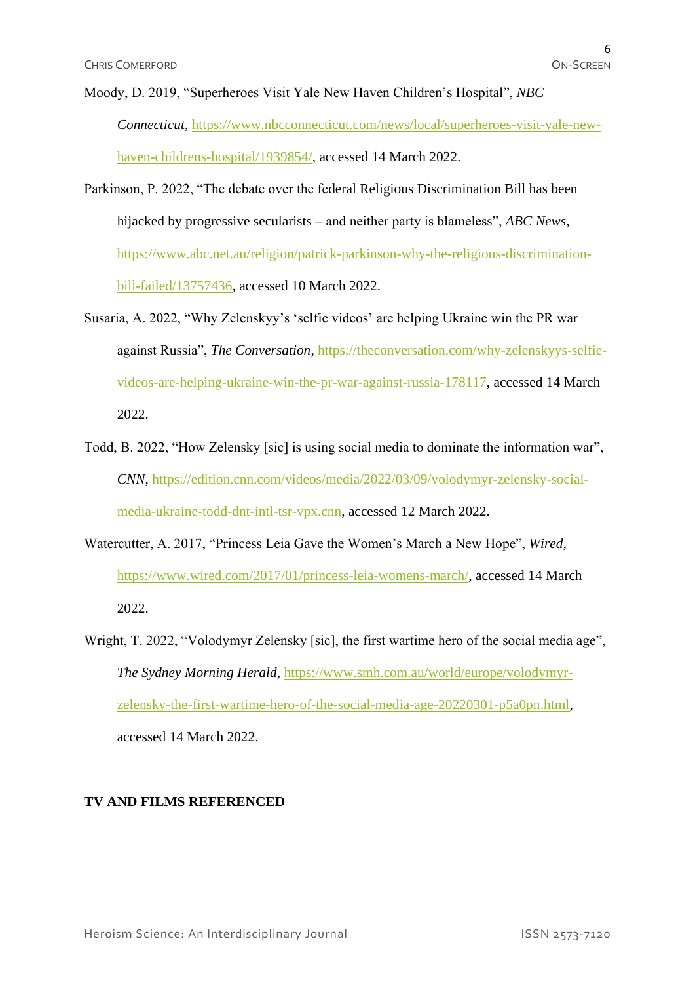- Moody, D. 2019, "Superheroes Visit Yale New Haven Children's Hospital", *NBC Connecticut*, [https://www.nbcconnecticut.com/news/local/superheroes-visit-yale-new](https://www.nbcconnecticut.com/news/local/superheroes-visit-yale-new-haven-childrens-hospital/1939854/)[haven-childrens-hospital/1939854/,](https://www.nbcconnecticut.com/news/local/superheroes-visit-yale-new-haven-childrens-hospital/1939854/) accessed 14 March 2022.
- Parkinson, P. 2022, "The debate over the federal Religious Discrimination Bill has been hijacked by progressive secularists – and neither party is blameless", *ABC News*, [https://www.abc.net.au/religion/patrick-parkinson-why-the-religious-discrimination](https://www.abc.net.au/religion/patrick-parkinson-why-the-religious-discrimination-bill-failed/13757436)[bill-failed/13757436,](https://www.abc.net.au/religion/patrick-parkinson-why-the-religious-discrimination-bill-failed/13757436) accessed 10 March 2022.
- Susaria, A. 2022, "Why Zelenskyy's 'selfie videos' are helping Ukraine win the PR war against Russia", *The Conversation*, [https://theconversation.com/why-zelenskyys-selfie](https://theconversation.com/why-zelenskyys-selfie-videos-are-helping-ukraine-win-the-pr-war-against-russia-178117)[videos-are-helping-ukraine-win-the-pr-war-against-russia-178117,](https://theconversation.com/why-zelenskyys-selfie-videos-are-helping-ukraine-win-the-pr-war-against-russia-178117) accessed 14 March 2022.
- Todd, B. 2022, "How Zelensky [sic] is using social media to dominate the information war", *CNN*, [https://edition.cnn.com/videos/media/2022/03/09/volodymyr-zelensky-social](https://edition.cnn.com/videos/media/2022/03/09/volodymyr-zelensky-social-media-ukraine-todd-dnt-intl-tsr-vpx.cnn)[media-ukraine-todd-dnt-intl-tsr-vpx.cnn,](https://edition.cnn.com/videos/media/2022/03/09/volodymyr-zelensky-social-media-ukraine-todd-dnt-intl-tsr-vpx.cnn) accessed 12 March 2022.
- Watercutter, A. 2017, "Princess Leia Gave the Women's March a New Hope", *Wired*, [https://www.wired.com/2017/01/princess-leia-womens-march/,](https://www.wired.com/2017/01/princess-leia-womens-march/) accessed 14 March 2022.
- Wright, T. 2022, "Volodymyr Zelensky [sic], the first wartime hero of the social media age", *The Sydney Morning Herald*, [https://www.smh.com.au/world/europe/volodymyr](https://www.smh.com.au/world/europe/volodymyr-zelensky-the-first-wartime-hero-of-the-social-media-age-20220301-p5a0pn.html)[zelensky-the-first-wartime-hero-of-the-social-media-age-20220301-p5a0pn.html,](https://www.smh.com.au/world/europe/volodymyr-zelensky-the-first-wartime-hero-of-the-social-media-age-20220301-p5a0pn.html) accessed 14 March 2022.

#### **TV AND FILMS REFERENCED**